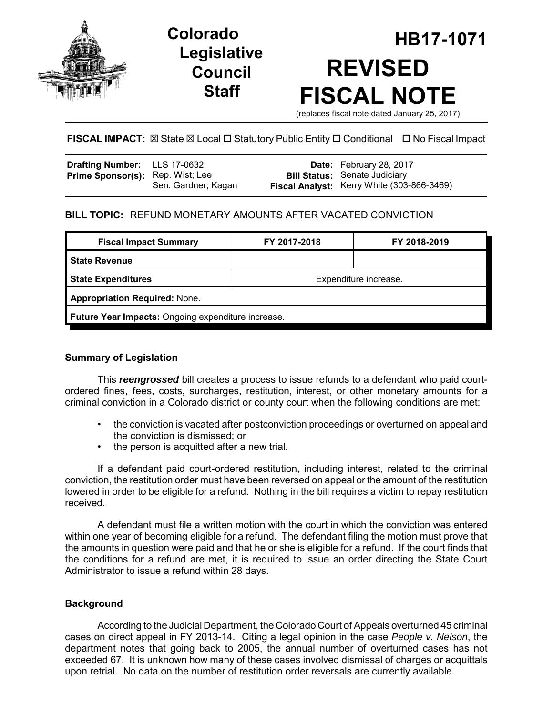

# **Legislative Council Staff**

# **HB17-1071 Colorado REVISED FISCAL NOTE**

(replaces fiscal note dated January 25, 2017)

# **FISCAL IMPACT:** ⊠ State ⊠ Local □ Statutory Public Entity □ Conditional □ No Fiscal Impact

| Drafting Number: LLS 17-0632            |                     | <b>Date:</b> February 28, 2017             |
|-----------------------------------------|---------------------|--------------------------------------------|
| <b>Prime Sponsor(s):</b> Rep. Wist; Lee |                     | <b>Bill Status: Senate Judiciary</b>       |
|                                         | Sen. Gardner; Kagan | Fiscal Analyst: Kerry White (303-866-3469) |

# **BILL TOPIC:** REFUND MONETARY AMOUNTS AFTER VACATED CONVICTION

| <b>Fiscal Impact Summary</b>                       | FY 2017-2018          | FY 2018-2019 |  |  |
|----------------------------------------------------|-----------------------|--------------|--|--|
| <b>State Revenue</b>                               |                       |              |  |  |
| <b>State Expenditures</b>                          | Expenditure increase. |              |  |  |
| <b>Appropriation Required: None.</b>               |                       |              |  |  |
| Future Year Impacts: Ongoing expenditure increase. |                       |              |  |  |

### **Summary of Legislation**

This *reengrossed* bill creates a process to issue refunds to a defendant who paid courtordered fines, fees, costs, surcharges, restitution, interest, or other monetary amounts for a criminal conviction in a Colorado district or county court when the following conditions are met:

- the conviction is vacated after postconviction proceedings or overturned on appeal and the conviction is dismissed; or
- the person is acquitted after a new trial.

If a defendant paid court-ordered restitution, including interest, related to the criminal conviction, the restitution order must have been reversed on appeal or the amount of the restitution lowered in order to be eligible for a refund. Nothing in the bill requires a victim to repay restitution received.

A defendant must file a written motion with the court in which the conviction was entered within one year of becoming eligible for a refund. The defendant filing the motion must prove that the amounts in question were paid and that he or she is eligible for a refund. If the court finds that the conditions for a refund are met, it is required to issue an order directing the State Court Administrator to issue a refund within 28 days.

# **Background**

According to the Judicial Department, the Colorado Court of Appeals overturned 45 criminal cases on direct appeal in FY 2013-14. Citing a legal opinion in the case *People v. Nelson*, the department notes that going back to 2005, the annual number of overturned cases has not exceeded 67. It is unknown how many of these cases involved dismissal of charges or acquittals upon retrial. No data on the number of restitution order reversals are currently available.